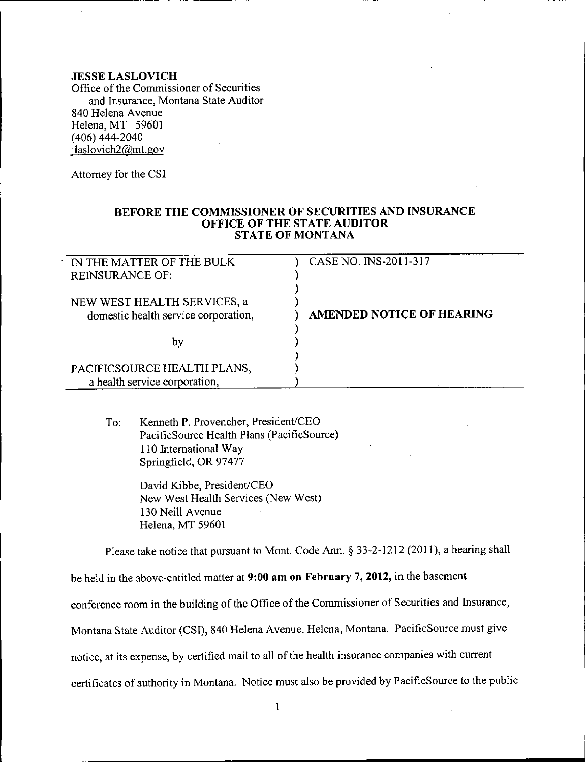## **JESSE LASLOVICH**

Office of the Commissioner of Securities and Insurance, Montana State Auditor 840 Helena Avenue Helena, MT 59601 (406) 444-2040 [jlaslovich2@mt.gov](mailto:jlaslovich2@mt.gov)

Attorney for the CSI

## **BEFORE THE COMMISSIONER OF SECURITIES AND INSURANCE OFFICE OF THE STATE AUDITOR** STATE OF MONTANA

| IN THE MATTER OF THE BULK            | CASE NO. INS-2011-317            |
|--------------------------------------|----------------------------------|
| <b>REINSURANCE OF:</b>               |                                  |
|                                      |                                  |
| NEW WEST HEALTH SERVICES, a          |                                  |
| domestic health service corporation, | <b>AMENDED NOTICE OF HEARING</b> |
|                                      |                                  |
| by                                   |                                  |
|                                      |                                  |
| PACIFICSOURCE HEALTH PLANS,          |                                  |
| a health service corporation,        |                                  |

To: Kenneth P. Provencher, President/CEO PacificSource Health Plans (PacificSource) 110 International Way Springfield, OR 97477

> David Kibbe, President/CEO New West Health Services (New West) 130 Neill Avenue Helena, MT 59601

Please take notice that pursuant to Mont. Code Ann. § 33-2-1212 (2011), a hearing shall

be held in the above-entitled matter at **9:00 am on February 7, 2012,** in the basement

conference room in the building of the Office of the Commissioner of Securities and Insurance,

Montana State Auditor (CSI), 840 Helena Avenue, Helena, Montana. PacificSource must give

notice, at its expense, by certified mail to all of the health insurance companies with current

certificates of authority in Montana. Notice must also be provided by PacificSource to the public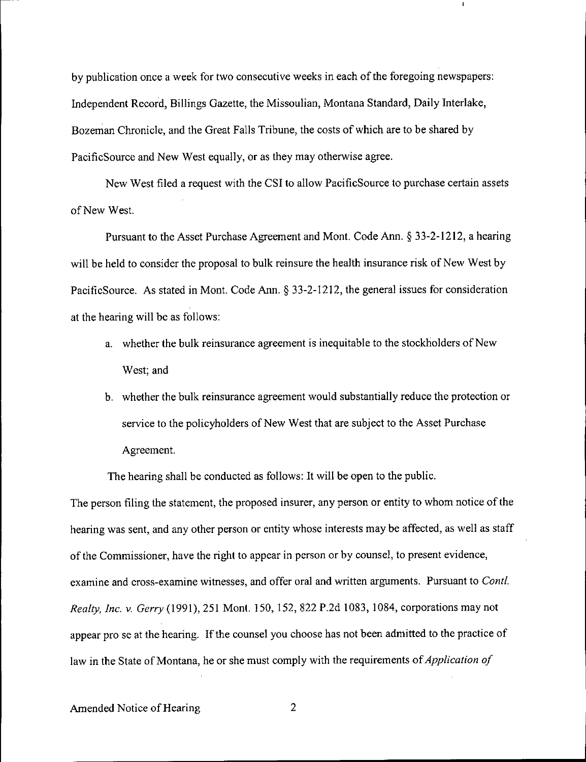by publication once a week for two consecutive weeks in each of the foregoing newspapers: Independent Record, Billings Gazette, the Missoulian, Montana Standard, Daily Interlake, Bozeman Chronicle, and the Great Falls Tribune, the costs of which are to be shared by PacificSource and New West equally, or as they may otherwise agree.

ł

New West filed a request with the CSI to allow PacificSource to purchase certain assets of New West.

Pursuant to the Asset Purchase Agreement and Mont. Code Ann. § 33-2-1212, a hearing will be held to consider the proposal to bulk reinsure the health insurance risk of New West by PacificSource. As stated in Mont. Code Ann. § 33-2-1212, the general issues for consideration at the hearing will be as follows:

- a. whether the bulk reinsurance agreement is inequitable to the stockholders of New West; and
- b. whether the bulk reinsurance agreement would substantially reduce the protection or service to the policyholders of New West that are subject to the Asset Purchase Agreement.

The hearing shall be conducted as follows: It will be open to the public.

The person filing the statement, the proposed insurer, any person or entity to whom notice of the hearing was sent, and any other person or entity whose interests may be affected, as well as staff of the Commissioner, have the right to appear in person or by counsel, to present evidence, examine and cross-examine witnesses, and offer oral and written arguments. Pursuant to *ContI. Realty, Inc.* v. *Gerry* (1991), 251 Mont. 150,152,822 P.2d 1083, 1084, corporations may not appear pro se at the hearing. If the counsel you choose has not been admitted to the practice of law in the State of Montana, he or she must comply with the requirements of *Application of*